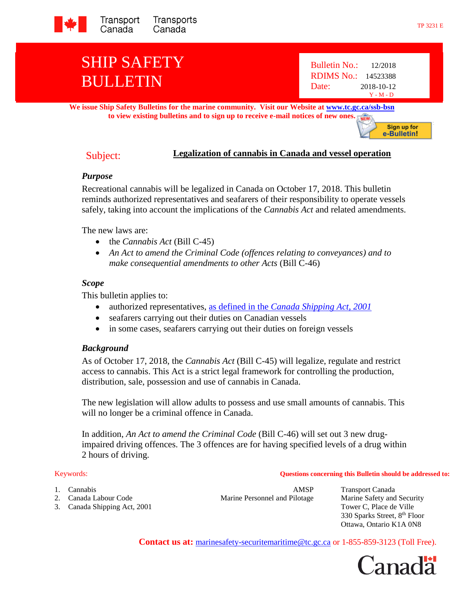

# SHIP SAFETY BULLETIN

**We issue Ship Safety Bulletins for the marine community. Visit our Website at [www.tc.gc.ca/ssb-bsn](http://www.tc.gc.ca/ssb-bsn) to view existing bulletins and to sign up to receive e-mail notices of new ones.** NEW

# Subject: **Legalization of cannabis in Canada and vessel operation**

### *Purpose*

Recreational cannabis will be legalized in Canada on October 17, 2018. This bulletin reminds authorized representatives and seafarers of their responsibility to operate vessels safely, taking into account the implications of the *Cannabis Act* and related amendments.

The new laws are:

- the *Cannabis Act* (Bill C-45)
- *An Act to amend the Criminal Code (offences relating to conveyances) and to make consequential amendments to other Acts* (Bill C-46)

### *Scope*

This bulletin applies to:

- authorized representatives, as defined in the *[Canada Shipping Act, 2001](http://laws-lois.justice.gc.ca/eng/acts/C-10.15/page-2.html#h-10)*
- seafarers carrying out their duties on Canadian vessels
- in some cases, seafarers carrying out their duties on foreign vessels

# *Background*

As of October 17, 2018, the *Cannabis Act* (Bill C-45) will legalize, regulate and restrict access to cannabis. This Act is a strict legal framework for controlling the production, distribution, sale, possession and use of cannabis in Canada.

The new legislation will allow adults to possess and use small amounts of cannabis. This will no longer be a criminal offence in Canada.

In addition, *An Act to amend the Criminal Code* (Bill C-46) will set out 3 new drugimpaired driving offences. The 3 offences are for having specified levels of a drug within 2 hours of driving.

#### Keywords: **Questions concerning this Bulletin should be addressed to:**

- 1. Cannabis AMSP Transport Canada
- 
- 3. Canada Shipping Act, 2001 Tower C, Place de Ville

2. Canada Labour Code Marine Personnel and Pilotage Marine Safety and Security

330 Sparks Street, 8<sup>th</sup> Floor Ottawa, Ontario K1A 0N8

**Contact us at:** [marinesafety-securitemaritime@tc.gc.ca](http://www.tc.gc.ca/marinesafety) or 1-855-859-3123 (Toll Free).



Sign up for e-Bulletin!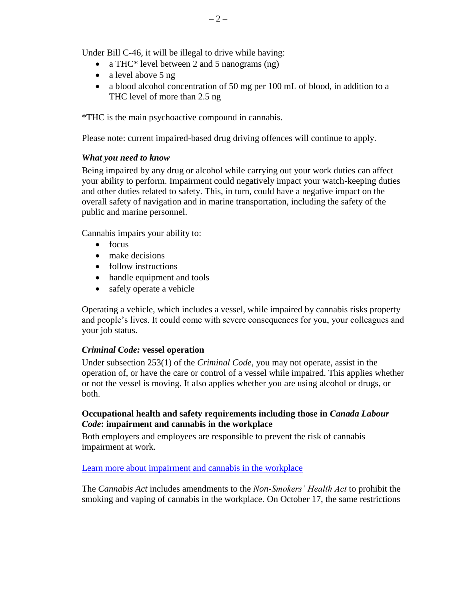Under Bill C-46, it will be illegal to drive while having:

- a THC\* level between 2 and 5 nanograms (ng)
- a level above 5 ng
- a blood alcohol concentration of 50 mg per 100 mL of blood, in addition to a THC level of more than 2.5 ng

\*THC is the main psychoactive compound in cannabis.

Please note: current impaired-based drug driving offences will continue to apply.

## *What you need to know*

Being impaired by any drug or alcohol while carrying out your work duties can affect your ability to perform. Impairment could negatively impact your watch-keeping duties and other duties related to safety. This, in turn, could have a negative impact on the overall safety of navigation and in marine transportation, including the safety of the public and marine personnel.

Cannabis impairs your ability to:

- $\bullet$  focus
- make decisions
- follow instructions
- handle equipment and tools
- safely operate a vehicle

Operating a vehicle, which includes a vessel, while impaired by cannabis risks property and people's lives. It could come with severe consequences for you, your colleagues and your job status.

### *Criminal Code:* **vessel operation**

Under subsection 253(1) of the *Criminal Code*, you may not operate, assist in the operation of, or have the care or control of a vessel while impaired. This applies whether or not the vessel is moving. It also applies whether you are using alcohol or drugs, or both.

### **Occupational health and safety requirements including those in** *Canada Labour Code***: impairment and cannabis in the workplace**

Both employers and employees are responsible to prevent the risk of cannabis impairment at work.

[Learn more about impairment and cannabis in the workplace](https://www.canada.ca/en/employment-social-development/services/health-safety/cannabis-workplace.html)

The *Cannabis Act* includes amendments to the *Non-Smokers' Health Act* to prohibit the smoking and vaping of cannabis in the workplace. On October 17, the same restrictions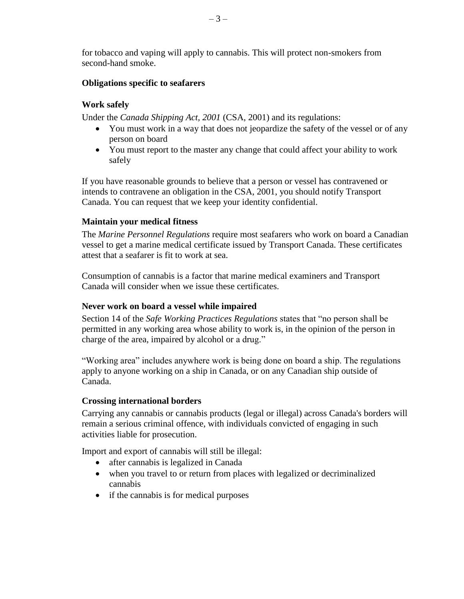for tobacco and vaping will apply to cannabis. This will protect non-smokers from second-hand smoke.

#### **Obligations specific to seafarers**

#### **Work safely**

Under the *Canada Shipping Act, 2001* (CSA, 2001) and its regulations:

- You must work in a way that does not jeopardize the safety of the vessel or of any person on board
- You must report to the master any change that could affect your ability to work safely

If you have reasonable grounds to believe that a person or vessel has contravened or intends to contravene an obligation in the CSA, 2001, you should notify Transport Canada. You can request that we keep your identity confidential.

#### **Maintain your medical fitness**

The *Marine Personnel Regulations* require most seafarers who work on board a Canadian vessel to get a marine medical certificate issued by Transport Canada. These certificates attest that a seafarer is fit to work at sea.

Consumption of cannabis is a factor that marine medical examiners and Transport Canada will consider when we issue these certificates.

#### **Never work on board a vessel while impaired**

Section 14 of the *Safe Working Practices Regulations* states that "no person shall be permitted in any working area whose ability to work is, in the opinion of the person in charge of the area, impaired by alcohol or a drug."

"Working area" includes anywhere work is being done on board a ship. The regulations apply to anyone working on a ship in Canada, or on any Canadian ship outside of Canada.

#### **Crossing international borders**

Carrying any cannabis or cannabis products (legal or illegal) across Canada's borders will remain a serious criminal offence, with individuals convicted of engaging in such activities liable for prosecution.

Import and export of cannabis will still be illegal:

- after cannabis is legalized in Canada
- when you travel to or return from places with legalized or decriminalized cannabis
- if the cannabis is for medical purposes